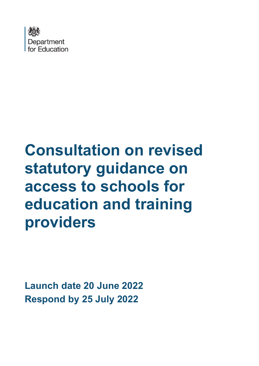

# **Consultation on revised statutory guidance on access to schools for education and training providers**

**Launch date 20 June 2022 Respond by 25 July 2022**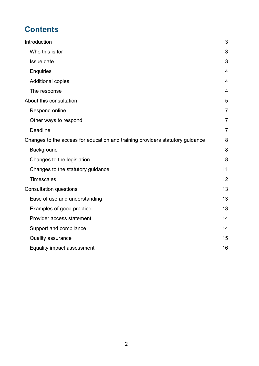# **Contents**

| Introduction                                                                  | 3              |
|-------------------------------------------------------------------------------|----------------|
| Who this is for                                                               | 3              |
| Issue date                                                                    | 3              |
| <b>Enquiries</b>                                                              | $\overline{4}$ |
| <b>Additional copies</b>                                                      | $\overline{4}$ |
| The response                                                                  | $\overline{4}$ |
| About this consultation                                                       | 5              |
| Respond online                                                                | $\overline{7}$ |
| Other ways to respond                                                         | 7              |
| <b>Deadline</b>                                                               | $\overline{7}$ |
| Changes to the access for education and training providers statutory guidance | 8              |
| Background                                                                    | 8              |
| Changes to the legislation                                                    | 8              |
| Changes to the statutory guidance                                             | 11             |
| <b>Timescales</b>                                                             | 12             |
| <b>Consultation questions</b>                                                 | 13             |
| Ease of use and understanding                                                 | 13             |
| Examples of good practice                                                     | 13             |
| Provider access statement                                                     | 14             |
| Support and compliance                                                        | 14             |
| Quality assurance                                                             | 15             |
| Equality impact assessment                                                    | 16             |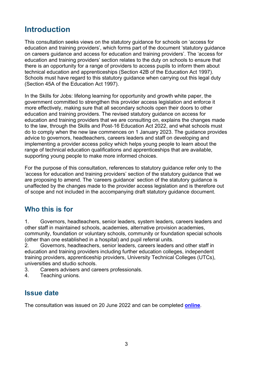# <span id="page-2-0"></span>**Introduction**

This consultation seeks views on the statutory guidance for schools on 'access for education and training providers', which forms part of the document 'statutory guidance on careers guidance and access for education and training providers'. The 'access for education and training providers' section relates to the duty on schools to ensure that there is an opportunity for a range of providers to access pupils to inform them about technical education and apprenticeships (Section 42B of the Education Act 1997). Schools must have regard to this statutory guidance when carrying out this legal duty (Section 45A of the Education Act 1997).

In the Skills for Jobs: lifelong learning for opportunity and growth white paper, the government committed to strengthen this provider access legislation and enforce it more effectively, making sure that all secondary schools open their doors to other education and training providers. The revised statutory guidance on access for education and training providers that we are consulting on, explains the changes made to the law, through the Skills and Post-16 Education Act 2022, and what schools must do to comply when the new law commences on 1 January 2023. The guidance provides advice to governors, headteachers, careers leaders and staff on developing and implementing a provider access policy which helps young people to learn about the range of technical education qualifications and apprenticeships that are available, supporting young people to make more informed choices.

For the purpose of this consultation, references to statutory guidance refer only to the 'access for education and training providers' section of the statutory guidance that we are proposing to amend. The 'careers guidance' section of the statutory guidance is unaffected by the changes made to the provider access legislation and is therefore out of scope and not included in the accompanying draft statutory guidance document.

#### <span id="page-2-1"></span>**Who this is for**

1. Governors, headteachers, senior leaders, system leaders, careers leaders and other staff in maintained schools, academies, alternative provision academies, community, foundation or voluntary schools, community or foundation special schools (other than one established in a hospital) and pupil referral units.

2. Governors, headteachers, senior leaders, careers leaders and other staff in education and training providers including further education colleges, independent training providers, apprenticeship providers, University Technical Colleges (UTCs), universities and studio schools.

- 3. Careers advisers and careers professionals.
- <span id="page-2-2"></span>4. Teaching unions.

#### **Issue date**

The consultation was issued on 20 June 2022 and can be completed **[online](https://consult.education.gov.uk/careers-unit/access-to-schools-for-education-and-training-provi)**.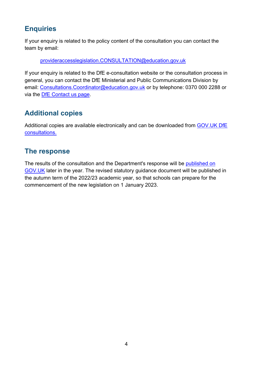## <span id="page-3-0"></span>**Enquiries**

If your enquiry is related to the policy content of the consultation you can contact the team by email:

provideraccesslegislation.CONSULTATION@education.gov.uk

If your enquiry is related to the DfE e-consultation website or the consultation process in general, you can contact the DfE Ministerial and Public Communications Division by email: Consultations. Coordinator@education.gov.uk or by telephone: 0370 000 2288 or via the [DfE Contact us page.](https://www.education.gov.uk/help/contactus)

## <span id="page-3-1"></span>**Additional copies**

Additional copies are available electronically and can be downloaded from [GOV.UK DfE](https://www.gov.uk/government/publications?keywords=&publication_filter_option=consultations&topics%5B%5D=all&departments%5B%5D=department-for-education&official_document_status=all&world_locations%5B%5D=all&from_date=&to_date=&commit=Refresh+results)  [consultations.](https://www.gov.uk/government/publications?keywords=&publication_filter_option=consultations&topics%5B%5D=all&departments%5B%5D=department-for-education&official_document_status=all&world_locations%5B%5D=all&from_date=&to_date=&commit=Refresh+results)

#### <span id="page-3-2"></span>**The response**

The results of the consultation and the Department's response will be [published on](https://www.gov.uk/government/publications?departments%5B%5D=department-for-education&publication_filter_option=consultations)  [GOV.UK](https://www.gov.uk/government/publications?departments%5B%5D=department-for-education&publication_filter_option=consultations) later in the year. The revised statutory guidance document will be published in the autumn term of the 2022/23 academic year, so that schools can prepare for the commencement of the new legislation on 1 January 2023.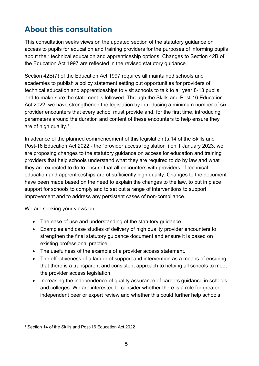# <span id="page-4-0"></span>**About this consultation**

This consultation seeks views on the updated section of the statutory guidance on access to pupils for education and training providers for the purposes of informing pupils about their technical education and apprenticeship options. Changes to Section 42B of the Education Act 1997 are reflected in the revised statutory guidance.

Section 42B(7) of the Education Act 1997 requires all maintained schools and academies to publish a policy statement setting out opportunities for providers of technical education and apprenticeships to visit schools to talk to all year 8-13 pupils, and to make sure the statement is followed. Through the Skills and Post-16 Education Act 2022, we have strengthened the legislation by introducing a minimum number of six provider encounters that every school must provide and, for the first time, introducing parameters around the duration and content of these encounters to help ensure they are of high quality.[1](#page-4-1)

In advance of the planned commencement of this legislation (s.14 of the Skills and Post-16 Education Act 2022 - the "provider access legislation") on 1 January 2023, we are proposing changes to the statutory guidance on access for education and training providers that help schools understand what they are required to do by law and what they are expected to do to ensure that all encounters with providers of technical education and apprenticeships are of sufficiently high quality. Changes to the document have been made based on the need to explain the changes to the law, to put in place support for schools to comply and to set out a range of interventions to support improvement and to address any persistent cases of non-compliance.

We are seeking your views on:

- The ease of use and understanding of the statutory guidance.
- Examples and case studies of delivery of high quality provider encounters to strengthen the final statutory guidance document and ensure it is based on existing professional practice.
- The usefulness of the example of a provider access statement.
- The effectiveness of a ladder of support and intervention as a means of ensuring that there is a transparent and consistent approach to helping all schools to meet the provider access legislation.
- Increasing the independence of quality assurance of careers quidance in schools and colleges. We are interested to consider whether there is a role for greater independent peer or expert review and whether this could further help schools

<span id="page-4-1"></span><sup>1</sup> Section 14 of the Skills and Post-16 Education Act 2022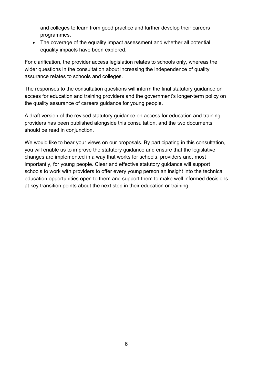and colleges to learn from good practice and further develop their careers programmes.

• The coverage of the equality impact assessment and whether all potential equality impacts have been explored.

For clarification, the provider access legislation relates to schools only, whereas the wider questions in the consultation about increasing the independence of quality assurance relates to schools and colleges.

The responses to the consultation questions will inform the final statutory guidance on access for education and training providers and the government's longer-term policy on the quality assurance of careers guidance for young people.

A draft version of the revised statutory guidance on access for education and training providers has been published alongside this consultation, and the two documents should be read in conjunction.

<span id="page-5-0"></span>We would like to hear your views on our proposals. By participating in this consultation, you will enable us to improve the statutory guidance and ensure that the legislative changes are implemented in a way that works for schools, providers and, most importantly, for young people. Clear and effective statutory guidance will support schools to work with providers to offer every young person an insight into the technical education opportunities open to them and support them to make well informed decisions at key transition points about the next step in their education or training.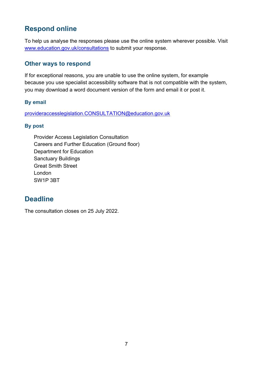## **Respond online**

<span id="page-6-0"></span>To help us analyse the responses please use the online system wherever possible. Visit [www.education.gov.uk/consultations](http://www.education.gov.uk/consultations) to submit your response.

#### **Other ways to respond**

If for exceptional reasons, you are unable to use the online system, for example because you use specialist accessibility software that is not compatible with the system, you may download a word document version of the form and email it or post it.

#### **By email**

provideraccesslegislation.CONSULTATION@education.gov.uk

#### **By post**

Provider Access Legislation Consultation Careers and Further Education (Ground floor) Department for Education Sanctuary Buildings Great Smith Street London SW1P 3BT

## <span id="page-6-1"></span>**Deadline**

The consultation closes on 25 July 2022.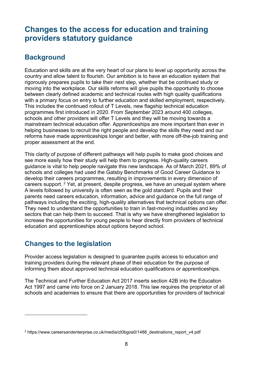# <span id="page-7-0"></span>**Changes to the access for education and training providers statutory guidance**

#### <span id="page-7-1"></span>**Background**

Education and skills are at the very heart of our plans to level up opportunity across the country and allow talent to flourish. Our ambition is to have an education system that rigorously prepares pupils to take their next step, whether that be continued study or moving into the workplace. Our skills reforms will give pupils the opportunity to choose between clearly defined academic and technical routes with high quality qualifications with a primary focus on entry to further education and skilled employment, respectively. This includes the continued rollout of T Levels, new flagship technical education programmes first introduced in 2020. From September 2023 around 400 colleges, schools and other providers will offer T Levels and they will be moving towards a mainstream technical education offer. Apprenticeships are more important than ever in helping businesses to recruit the right people and develop the skills they need and our reforms have made apprenticeships longer and better, with more off-the-job training and proper assessment at the end.

This clarity of purpose of different pathways will help pupils to make good choices and see more easily how their study will help them to progress. High-quality careers guidance is vital to help people navigate this new landscape. As of March 2021, 89% of schools and colleges had used the Gatsby Benchmarks of Good Career Guidance to develop their careers programmes, resulting in improvements in every dimension of careers support. [2](#page-7-3) Yet, at present, despite progress, we have an unequal system where A levels followed by university is often seen as the gold standard. Pupils and their parents need careers education, information, advice and guidance on the full range of pathways including the exciting, high-quality alternatives that technical options can offer. They need to understand the opportunities to train in fast-moving industries and key sectors that can help them to succeed. That is why we have strengthened legislation to increase the opportunities for young people to hear directly from providers of technical education and apprenticeships about options beyond school.

## <span id="page-7-2"></span>**Changes to the legislation**

Provider access legislation is designed to guarantee pupils access to education and training providers during the relevant phase of their education for the purpose of informing them about approved technical education qualifications or apprenticeships.

The Technical and Further Education Act 2017 inserts section 42B into the Education Act 1997 and came into force on 2 January 2018. This law requires the proprietor of all schools and academies to ensure that there are opportunities for providers of technical

<span id="page-7-3"></span><sup>2</sup> https://www.careersandenterprise.co.uk/media/zt0bgoa0/1488\_destinations\_report\_v4.pdf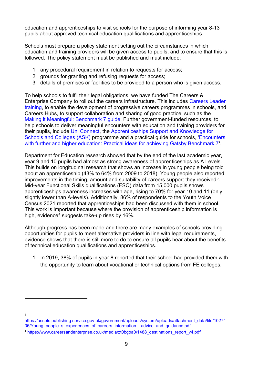education and apprenticeships to visit schools for the purpose of informing year 8-13 pupils about approved technical education qualifications and apprenticeships.

Schools must prepare a policy statement setting out the circumstances in which education and training providers will be given access to pupils, and to ensure that this is followed. The policy statement must be published and must include:

- 1. any procedural requirement in relation to requests for access;
- 2. grounds for granting and refusing requests for access;
- 3. details of premises or facilities to be provided to a person who is given access.

To help schools to fulfil their legal obligations, we have funded The Careers & Enterprise Company to roll out the careers infrastructure. This includes [Careers Leader](https://www.careersandenterprise.co.uk/careers-leaders/careers-leader-training/)  [training,](https://www.careersandenterprise.co.uk/careers-leaders/careers-leader-training/) to enable the development of progressive careers programmes in schools, and Careers Hubs, to support collaboration and sharing of good practice, such as the [Making it Meaningful: Benchmark 7 guide.](https://resources.careersandenterprise.co.uk/resources/making-it-meaningful-benchmark-7) Further government-funded resources, to help schools to deliver meaningful encounters with education and training providers for their pupils, include [Uni Connect,](https://www.officeforstudents.org.uk/advice-and-guidance/promoting-equal-opportunities/uni-connect/) the [Apprenticeships Support and Knowledge for](https://amazingapprenticeships.com/about-ask/)  [Schools and Colleges \(ASK\)](https://amazingapprenticeships.com/about-ask/) programme and a practical guide for schools, ['Encounters](https://www.careersandenterprise.co.uk/sites/default/files/uploaded/1445_bm7_final.pdf)  [with further and higher education: Practical ideas for achieving Gatsby](https://www.careersandenterprise.co.uk/sites/default/files/uploaded/1445_bm7_final.pdf) Benchmark 7**'**.

Department for Education research showed that by the end of the last academic year, year 9 and 10 pupils had almost as strong awareness of apprenticeships as A Levels. This builds on longitudinal research that shows an increase in young people being told about an apprenticeship (43% to 64% from 2009 to 2018). Young people also reported improvements in the timing, amount and suitability of careers support they received<sup>3</sup>. Mid-year Functional Skills qualifications (FSQ) data from 15,000 pupils shows apprenticeships awareness increases with age, rising to 70% for year 10 and 11 (only slightly lower than A-levels). Additionally, 86% of respondents to the Youth Voice Census 2021 reported that apprenticeships had been discussed with them in school. This work is important because where the provision of apprenticeship information is high, evidence<sup>[4](#page-8-1)</sup> suggests take-up rises by  $16\%$ .

Although progress has been made and there are many examples of schools providing opportunities for pupils to meet alternative providers in line with legal requirements, evidence shows that there is still more to do to ensure all pupils hear about the benefits of technical education qualifications and apprenticeships.

1. In 2019, 38% of pupils in year 8 reported that their school had provided them with the opportunity to learn about vocational or technical options from FE colleges.

3

<span id="page-8-0"></span>[https://assets.publishing.service.gov.uk/government/uploads/system/uploads/attachment\\_data/file/10274](https://assets.publishing.service.gov.uk/government/uploads/system/uploads/attachment_data/file/1027406/Young_people_s_experiences_of_careers_information__advice_and_guidance.pdf) 06/Young\_people\_s\_experiences\_of\_careers\_information\_advice\_and\_guidance.pdf

<span id="page-8-1"></span><sup>4</sup> [https://www.careersandenterprise.co.uk/media/zt0bgoa0/1488\\_destinations\\_report\\_v4.pdf](https://www.careersandenterprise.co.uk/media/zt0bgoa0/1488_destinations_report_v4.pdf)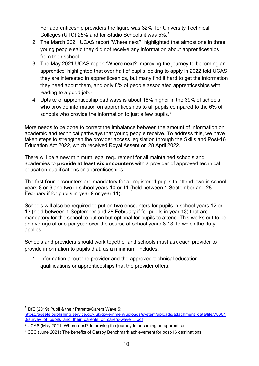For apprenticeship providers the figure was 32%, for University Technical Colleges (UTC) 25% and for Studio Schools it was 5%. [5](#page-9-0)

- 2. The March 2021 UCAS report 'Where next?' highlighted that almost one in three young people said they did not receive any information about apprenticeships from their school.
- 3. The May 2021 UCAS report 'Where next? Improving the journey to becoming an apprentice' highlighted that over half of pupils looking to apply in 2022 told UCAS they are interested in apprenticeships, but many find it hard to get the information they need about them, and only 8% of people associated apprenticeships with leading to a good job. $6$
- 4. Uptake of apprenticeship pathways is about 16% higher in the 39% of schools who provide information on apprenticeships to all pupils compared to the 6% of schools who provide the information to just a few pupils.<sup>[7](#page-9-2)</sup>

More needs to be done to correct the imbalance between the amount of information on academic and technical pathways that young people receive. To address this, we have taken steps to strengthen the provider access legislation through the Skills and Post-16 Education Act 2022, which received Royal Assent on 28 April 2022.

There will be a new minimum legal requirement for all maintained schools and academies to **provide at least six encounters** with a provider of approved technical education qualifications or apprenticeships.

The first **four** encounters are mandatory for all registered pupils to attend: two in school years 8 or 9 and two in school years 10 or 11 (held between 1 September and 28 February if for pupils in year 9 or year 11).

Schools will also be required to put on **two** encounters for pupils in school years 12 or 13 (held between 1 September and 28 February if for pupils in year 13) that are mandatory for the school to put on but optional for pupils to attend. This works out to be an average of one per year over the course of school years 8-13, to which the duty applies.

Schools and providers should work together and schools must ask each provider to provide information to pupils that, as a minimum, includes:

1. information about the provider and the approved technical education qualifications or apprenticeships that the provider offers,

<span id="page-9-0"></span><sup>5</sup> DfE (2019) Pupil & their Parents/Carers Wave 5:

[https://assets.publishing.service.gov.uk/government/uploads/system/uploads/attachment\\_data/file/78604](https://assets.publishing.service.gov.uk/government/uploads/system/uploads/attachment_data/file/786040/survey_of_pupils_and_their_parents_or_carers-wave_5.pdf) 0/survey of pupils and their parents or carers-wave 5.pdf

<span id="page-9-1"></span><sup>6</sup> UCAS (May 2021) Where next? Improving the journey to becoming an apprentice

<span id="page-9-2"></span> $7$  CEC (June 2021) The benefits of Gatsby Benchmark achievement for post-16 destinations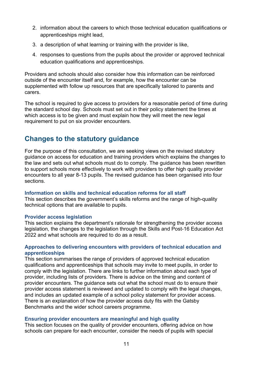- 2. information about the careers to which those technical education qualifications or apprenticeships might lead,
- 3. a description of what learning or training with the provider is like,
- 4. responses to questions from the pupils about the provider or approved technical education qualifications and apprenticeships.

Providers and schools should also consider how this information can be reinforced outside of the encounter itself and, for example, how the encounter can be supplemented with follow up resources that are specifically tailored to parents and carers.

The school is required to give access to providers for a reasonable period of time during the standard school day. Schools must set out in their policy statement the times at which access is to be given and must explain how they will meet the new legal requirement to put on six provider encounters.

#### <span id="page-10-0"></span>**Changes to the statutory guidance**

For the purpose of this consultation, we are seeking views on the revised statutory guidance on access for education and training providers which explains the changes to the law and sets out what schools must do to comply. The guidance has been rewritten to support schools more effectively to work with providers to offer high quality provider encounters to all year 8-13 pupils. The revised guidance has been organised into four sections.

#### **Information on skills and technical education reforms for all staff**

This section describes the government's skills reforms and the range of high-quality technical options that are available to pupils.

#### **Provider access legislation**

This section explains the department's rationale for strengthening the provider access legislation, the changes to the legislation through the Skills and Post-16 Education Act 2022 and what schools are required to do as a result.

#### **Approaches to delivering encounters with providers of technical education and apprenticeships**

This section summarises the range of providers of approved technical education qualifications and apprenticeships that schools may invite to meet pupils, in order to comply with the legislation. There are links to further information about each type of provider, including lists of providers. There is advice on the timing and content of provider encounters. The guidance sets out what the school must do to ensure their provider access statement is reviewed and updated to comply with the legal changes, and includes an updated example of a school policy statement for provider access. There is an explanation of how the provider access duty fits with the Gatsby Benchmarks and the wider school careers programme.

#### **Ensuring provider encounters are meaningful and high quality**

This section focuses on the quality of provider encounters, offering advice on how schools can prepare for each encounter, consider the needs of pupils with special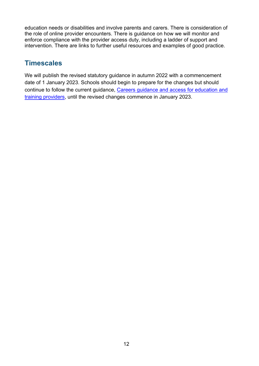education needs or disabilities and involve parents and carers. There is consideration of the role of online provider encounters. There is guidance on how we will monitor and enforce compliance with the provider access duty, including a ladder of support and intervention. There are links to further useful resources and examples of good practice.

#### <span id="page-11-0"></span>**Timescales**

We will publish the revised statutory guidance in autumn 2022 with a commencement date of 1 January 2023. Schools should begin to prepare for the changes but should continue to follow the current guidance, [Careers guidance and access for education and](https://www.gov.uk/government/publications/careers-guidance-provision-for-young-people-in-schools)  [training providers,](https://www.gov.uk/government/publications/careers-guidance-provision-for-young-people-in-schools) until the revised changes commence in January 2023.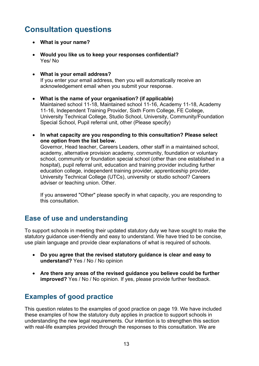# <span id="page-12-0"></span>**Consultation questions**

- **What is your name?**
- **Would you like us to keep your responses confidential?** Yes/ No
- **What is your email address?** If you enter your email address, then you will automatically receive an

acknowledgement email when you submit your response.

- **What is the name of your organisation? (if applicable)**  Maintained school 11-18, Maintained school 11-16, Academy 11-18, Academy 11-16, Independent Training Provider, Sixth Form College, FE College, University Technical College, Studio School, University, Community/Foundation Special School, Pupil referral unit, other (Please specify)
- **In what capacity are you responding to this consultation? Please select one option from the list below.**

Governor, Head teacher, Careers Leaders, other staff in a maintained school, academy, alternative provision academy, community, foundation or voluntary school, community or foundation special school (other than one established in a hospital), pupil referral unit, education and training provider including further education college, independent training provider, apprenticeship provider, University Technical College (UTCs), university or studio school? Careers adviser or teaching union. Other.

If you answered "Other" please specify in what capacity, you are responding to this consultation.

#### <span id="page-12-1"></span>**Ease of use and understanding**

To support schools in meeting their updated statutory duty we have sought to make the statutory guidance user-friendly and easy to understand. We have tried to be concise, use plain language and provide clear explanations of what is required of schools.

- **Do you agree that the revised statutory guidance is clear and easy to understand?** Yes / No / No opinion
- **Are there any areas of the revised guidance you believe could be further improved?** Yes / No / No opinion. If yes, please provide further feedback.

## <span id="page-12-2"></span>**Examples of good practice**

This question relates to the examples of good practice on page 19. We have included these examples of how the statutory duty applies in practice to support schools in understanding the new legal requirements. Our intention is to strengthen this section with real-life examples provided through the responses to this consultation. We are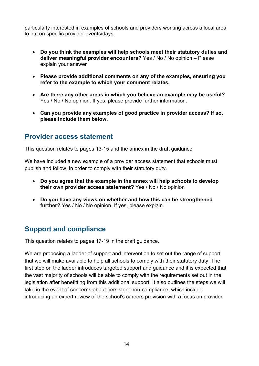particularly interested in examples of schools and providers working across a local area to put on specific provider events/days.

- **Do you think the examples will help schools meet their statutory duties and deliver meaningful provider encounters?** Yes / No / No opinion – Please explain your answer
- **Please provide additional comments on any of the examples, ensuring you refer to the example to which your comment relates.**
- **Are there any other areas in which you believe an example may be useful?**  Yes / No / No opinion. If yes, please provide further information.
- **Can you provide any examples of good practice in provider access? If so, please include them below.**

#### <span id="page-13-0"></span>**Provider access statement**

This question relates to pages 13-15 and the annex in the draft guidance.

We have included a new example of a provider access statement that schools must publish and follow, in order to comply with their statutory duty.

- **Do you agree that the example in the annex will help schools to develop their own provider access statement?** Yes / No / No opinion
- **Do you have any views on whether and how this can be strengthened further?** Yes / No / No opinion. If yes, please explain.

## <span id="page-13-1"></span>**Support and compliance**

This question relates to pages 17-19 in the draft guidance.

We are proposing a ladder of support and intervention to set out the range of support that we will make available to help all schools to comply with their statutory duty. The first step on the ladder introduces targeted support and guidance and it is expected that the vast majority of schools will be able to comply with the requirements set out in the legislation after benefitting from this additional support. It also outlines the steps we will take in the event of concerns about persistent non-compliance, which include introducing an expert review of the school's careers provision with a focus on provider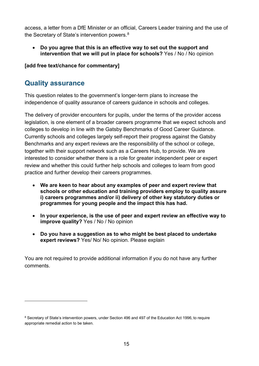access, a letter from a DfE Minister or an official, Careers Leader training and the use of the Secretary of State's intervention powers.<sup>[8](#page-14-1)</sup>

• **Do you agree that this is an effective way to set out the support and intervention that we will put in place for schools?** Yes / No / No opinion

<span id="page-14-0"></span>**[add free text/chance for commentary]**

#### **Quality assurance**

This question relates to the government's longer-term plans to increase the independence of quality assurance of careers guidance in schools and colleges.

The delivery of provider encounters for pupils, under the terms of the provider access legislation, is one element of a broader careers programme that we expect schools and colleges to develop in line with the Gatsby Benchmarks of Good Career Guidance. Currently schools and colleges largely self-report their progress against the Gatsby Benchmarks and any expert reviews are the responsibility of the school or college, together with their support network such as a Careers Hub, to provide. We are interested to consider whether there is a role for greater independent peer or expert review and whether this could further help schools and colleges to learn from good practice and further develop their careers programmes.

- **We are keen to hear about any examples of peer and expert review that schools or other education and training providers employ to quality assure i) careers programmes and/or ii) delivery of other key statutory duties or programmes for young people and the impact this has had.**
- **In your experience, is the use of peer and expert review an effective way to improve quality?** Yes / No / No opinion
- **Do you have a suggestion as to who might be best placed to undertake expert reviews?** Yes/ No/ No opinion. Please explain

You are not required to provide additional information if you do not have any further comments.

<span id="page-14-1"></span><sup>8</sup> Secretary of State's intervention powers, under Section 496 and 497 of the Education Act 1996, to require appropriate remedial action to be taken.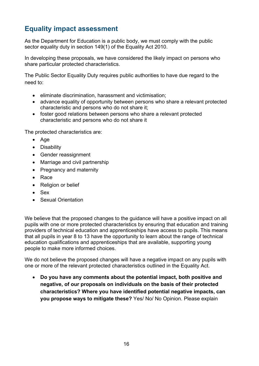## <span id="page-15-0"></span>**Equality impact assessment**

As the Department for Education is a public body, we must comply with the public sector equality duty in section 149(1) of the Equality Act 2010.

In developing these proposals, we have considered the likely impact on persons who share particular protected characteristics.

The Public Sector Equality Duty requires public authorities to have due regard to the need to:

- eliminate discrimination, harassment and victimisation;
- advance equality of opportunity between persons who share a relevant protected characteristic and persons who do not share it;
- foster good relations between persons who share a relevant protected characteristic and persons who do not share it

The protected characteristics are:

- Age
- Disability
- Gender reassignment
- Marriage and civil partnership
- Pregnancy and maternity
- Race
- Religion or belief
- Sex
- Sexual Orientation

We believe that the proposed changes to the guidance will have a positive impact on all pupils with one or more protected characteristics by ensuring that education and training providers of technical education and apprenticeships have access to pupils. This means that all pupils in year 8 to 13 have the opportunity to learn about the range of technical education qualifications and apprenticeships that are available, supporting young people to make more informed choices.

We do not believe the proposed changes will have a negative impact on any pupils with one or more of the relevant protected characteristics outlined in the Equality Act.

• **Do you have any comments about the potential impact, both positive and negative, of our proposals on individuals on the basis of their protected characteristics? Where you have identified potential negative impacts, can you propose ways to mitigate these?** Yes/ No/ No Opinion. Please explain